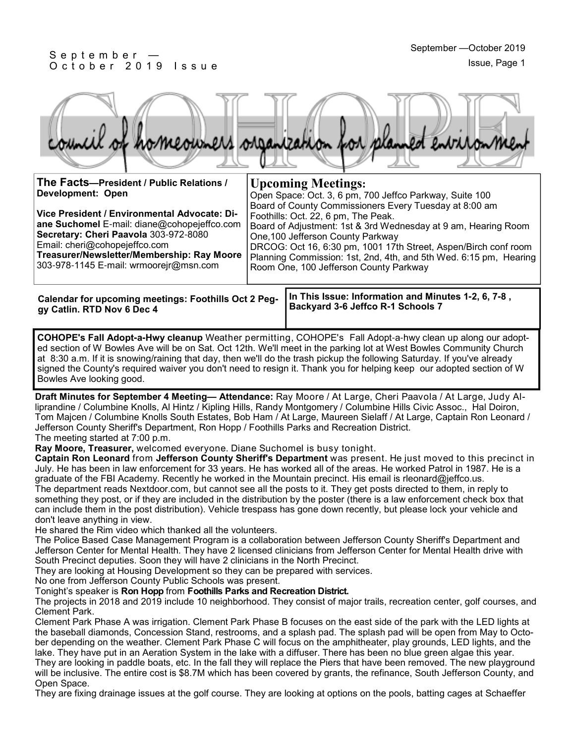#### S e p t e m b e r — O c t o b e r 2019 Issue



| The Facts--President / Public Relations /<br>Development: Open                                                                                                                                                                                                | <b>Upcoming Meetings:</b><br>Open Space: Oct. 3, 6 pm, 700 Jeffco Parkway, Suite 100                                                                                                                                                                                                                                                                                                   |
|---------------------------------------------------------------------------------------------------------------------------------------------------------------------------------------------------------------------------------------------------------------|----------------------------------------------------------------------------------------------------------------------------------------------------------------------------------------------------------------------------------------------------------------------------------------------------------------------------------------------------------------------------------------|
| Vice President / Environmental Advocate: Di-<br>ane Suchomel E-mail: diane@cohopejeffco.com<br>Secretary: Cheri Paavola 303-972-8080<br>Email: cheri@cohopejeffco.com<br>Treasurer/Newsletter/Membership: Ray Moore<br>303-978-1145 E-mail: wrmoorejr@msn.com | Board of County Commissioners Every Tuesday at 8:00 am<br>Foothills: Oct. 22, 6 pm, The Peak.<br>Board of Adjustment: 1st & 3rd Wednesday at 9 am, Hearing Room<br>One, 100 Jefferson County Parkway<br>DRCOG: Oct 16, 6:30 pm, 1001 17th Street, Aspen/Birch conf room<br>Planning Commission: 1st, 2nd, 4th, and 5th Wed. 6:15 pm, Hearing<br>Room One, 100 Jefferson County Parkway |
|                                                                                                                                                                                                                                                               |                                                                                                                                                                                                                                                                                                                                                                                        |

**In This Issue: Information and Minutes 1-2, 6, 7-8 , Backyard 3-6 Jeffco R-1 Schools 7 Calendar for upcoming meetings: Foothills Oct 2 Peggy Catlin. RTD Nov 6 Dec 4**

**COHOPE's Fall Adopt-a-Hwy cleanup** Weather permitting, COHOPE's Fall Adopt-a-hwy clean up along our adopted section of W Bowles Ave will be on Sat. Oct 12th. We'll meet in the parking lot at West Bowles Community Church at 8:30 a.m. If it is snowing/raining that day, then we'll do the trash pickup the following Saturday. If you've already signed the County's required waiver you don't need to resign it. Thank you for helping keep our adopted section of W Bowles Ave looking good.

**Draft Minutes for September 4 Meeting— Attendance:** Ray Moore / At Large, Cheri Paavola / At Large, Judy Alliprandine / Columbine Knolls, Al Hintz / Kipling Hills, Randy Montgomery / Columbine Hills Civic Assoc., Hal Doiron, Tom Majcen / Columbine Knolls South Estates, Bob Ham / At Large, Maureen Sielaff / At Large, Captain Ron Leonard / Jefferson County Sheriff's Department, Ron Hopp / Foothills Parks and Recreation District. The meeting started at 7:00 p.m.

**Ray Moore, Treasurer,** welcomed everyone. Diane Suchomel is busy tonight.

**Captain Ron Leonard** from **Jefferson County Sheriff's Department** was present. He just moved to this precinct in July. He has been in law enforcement for 33 years. He has worked all of the areas. He worked Patrol in 1987. He is a graduate of the FBI Academy. Recently he worked in the Mountain precinct. His email is rleonard@jeffco.us. The department reads Nextdoor.com, but cannot see all the posts to it. They get posts directed to them, in reply to something they post, or if they are included in the distribution by the poster (there is a law enforcement check box that can include them in the post distribution). Vehicle trespass has gone down recently, but please lock your vehicle and don't leave anything in view.

He shared the Rim video which thanked all the volunteers.

The Police Based Case Management Program is a collaboration between Jefferson County Sheriff's Department and Jefferson Center for Mental Health. They have 2 licensed clinicians from Jefferson Center for Mental Health drive with South Precinct deputies. Soon they will have 2 clinicians in the North Precinct.

They are looking at Housing Development so they can be prepared with services.

No one from Jefferson County Public Schools was present.

Tonight's speaker is **Ron Hopp** from **Foothills Parks and Recreation District.**

The projects in 2018 and 2019 include 10 neighborhood. They consist of major trails, recreation center, golf courses, and Clement Park.

Clement Park Phase A was irrigation. Clement Park Phase B focuses on the east side of the park with the LED lights at the baseball diamonds, Concession Stand, restrooms, and a splash pad. The splash pad will be open from May to October depending on the weather. Clement Park Phase C will focus on the amphitheater, play grounds, LED lights, and the lake. They have put in an Aeration System in the lake with a diffuser. There has been no blue green algae this year. They are looking in paddle boats, etc. In the fall they will replace the Piers that have been removed. The new playground

will be inclusive. The entire cost is \$8.7M which has been covered by grants, the refinance, South Jefferson County, and Open Space.

They are fixing drainage issues at the golf course. They are looking at options on the pools, batting cages at Schaeffer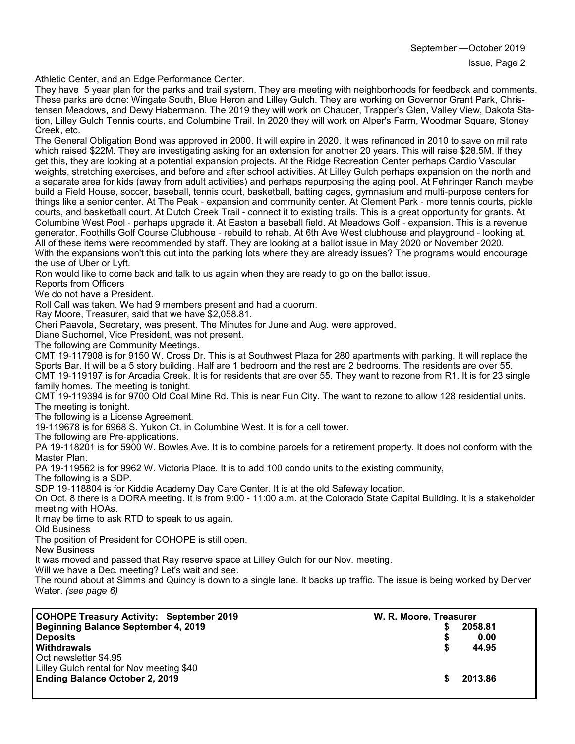Athletic Center, and an Edge Performance Center.

They have 5 year plan for the parks and trail system. They are meeting with neighborhoods for feedback and comments. These parks are done: Wingate South, Blue Heron and Lilley Gulch. They are working on Governor Grant Park, Christensen Meadows, and Dewy Habermann. The 2019 they will work on Chaucer, Trapper's Glen, Valley View, Dakota Station, Lilley Gulch Tennis courts, and Columbine Trail. In 2020 they will work on Alper's Farm, Woodmar Square, Stoney Creek, etc.

The General Obligation Bond was approved in 2000. It will expire in 2020. It was refinanced in 2010 to save on mil rate which raised \$22M. They are investigating asking for an extension for another 20 years. This will raise \$28.5M. If they get this, they are looking at a potential expansion projects. At the Ridge Recreation Center perhaps Cardio Vascular weights, stretching exercises, and before and after school activities. At Lilley Gulch perhaps expansion on the north and a separate area for kids (away from adult activities) and perhaps repurposing the aging pool. At Fehringer Ranch maybe build a Field House, soccer, baseball, tennis court, basketball, batting cages, gymnasium and multi-purpose centers for things like a senior center. At The Peak - expansion and community center. At Clement Park - more tennis courts, pickle courts, and basketball court. At Dutch Creek Trail - connect it to existing trails. This is a great opportunity for grants. At Columbine West Pool - perhaps upgrade it. At Easton a baseball field. At Meadows Golf - expansion. This is a revenue generator. Foothills Golf Course Clubhouse - rebuild to rehab. At 6th Ave West clubhouse and playground - looking at. All of these items were recommended by staff. They are looking at a ballot issue in May 2020 or November 2020. With the expansions won't this cut into the parking lots where they are already issues? The programs would encourage the use of Uber or Lyft.

Ron would like to come back and talk to us again when they are ready to go on the ballot issue.

Reports from Officers

We do not have a President.

Roll Call was taken. We had 9 members present and had a quorum.

Ray Moore, Treasurer, said that we have \$2,058.81.

Cheri Paavola, Secretary, was present. The Minutes for June and Aug. were approved.

Diane Suchomel, Vice President, was not present.

The following are Community Meetings.

CMT 19-117908 is for 9150 W. Cross Dr. This is at Southwest Plaza for 280 apartments with parking. It will replace the Sports Bar. It will be a 5 story building. Half are 1 bedroom and the rest are 2 bedrooms. The residents are over 55.

CMT 19-119197 is for Arcadia Creek. It is for residents that are over 55. They want to rezone from R1. It is for 23 single family homes. The meeting is tonight.

CMT 19-119394 is for 9700 Old Coal Mine Rd. This is near Fun City. The want to rezone to allow 128 residential units. The meeting is tonight.

The following is a License Agreement.

19-119678 is for 6968 S. Yukon Ct. in Columbine West. It is for a cell tower.

The following are Pre-applications.

PA 19-118201 is for 5900 W. Bowles Ave. It is to combine parcels for a retirement property. It does not conform with the Master Plan.

PA 19-119562 is for 9962 W. Victoria Place. It is to add 100 condo units to the existing community,

The following is a SDP.

SDP 19-118804 is for Kiddie Academy Day Care Center. It is at the old Safeway location.

On Oct. 8 there is a DORA meeting. It is from 9:00 - 11:00 a.m. at the Colorado State Capital Building. It is a stakeholder meeting with HOAs.

It may be time to ask RTD to speak to us again.

Old Business

The position of President for COHOPE is still open.

New Business

It was moved and passed that Ray reserve space at Lilley Gulch for our Nov. meeting.

Will we have a Dec. meeting? Let's wait and see.

The round about at Simms and Quincy is down to a single lane. It backs up traffic. The issue is being worked by Denver Water. *(see page 6)*

| 2058.81                |
|------------------------|
| 0.00                   |
| 44.95                  |
|                        |
|                        |
| 2013.86                |
| W. R. Moore, Treasurer |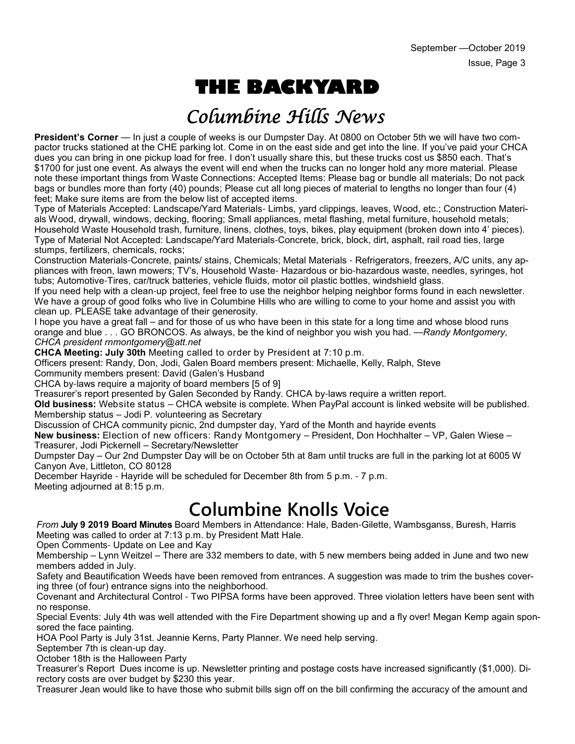# **THE BACKYARD**

## Columbine Hills News

**President's Corner** — In just a couple of weeks is our Dumpster Day. At 0800 on October 5th we will have two compactor trucks stationed at the CHE parking lot. Come in on the east side and get into the line. If you've paid your CHCA dues you can bring in one pickup load for free. I don't usually share this, but these trucks cost us \$850 each. That's \$1700 for just one event. As always the event will end when the trucks can no longer hold any more material. Please note these important things from Waste Connections: Accepted Items: Please bag or bundle all materials; Do not pack bags or bundles more than forty (40) pounds; Please cut all long pieces of material to lengths no longer than four (4) feet; Make sure items are from the below list of accepted items.

Type of Materials Accepted: Landscape/Yard Materials- Limbs, yard clippings, leaves, Wood, etc.; Construction Materials Wood, drywall, windows, decking, flooring; Small appliances, metal flashing, metal furniture, household metals; Household Waste Household trash, furniture, linens, clothes, toys, bikes, play equipment (broken down into 4' pieces). Type of Material Not Accepted: Landscape/Yard Materials-Concrete, brick, block, dirt, asphalt, rail road ties, large stumps, fertilizers, chemicals, rocks;

Construction Materials-Concrete, paints/ stains, Chemicals; Metal Materials - Refrigerators, freezers, A/C units, any appliances with freon, lawn mowers; TV's, Household Waste- Hazardous or bio-hazardous waste, needles, syringes, hot tubs; Automotive-Tires, car/truck batteries, vehicle fluids, motor oil plastic bottles, windshield glass.

If you need help with a clean-up project, feel free to use the neighbor helping neighbor forms found in each newsletter. We have a group of good folks who live in Columbine Hills who are willing to come to your home and assist you with clean up. PLEASE take advantage of their generosity.

I hope you have a great fall – and for those of us who have been in this state for a long time and whose blood runs orange and blue . . . GO BRONCOS. As always, be the kind of neighbor you wish you had. —*Randy Montgomery, CHCA president rnmontgomery@att.net*

**CHCA Meeting: July 30th** Meeting called to order by President at 7:10 p.m.

Officers present: Randy, Don, Jodi, Galen Board members present: Michaelle, Kelly, Ralph, Steve

Community members present: David (Galen's Husband

CHCA by-laws require a majority of board members [5 of 9]

Treasurer's report presented by Galen Seconded by Randy. CHCA by-laws require a written report.

**Old business:** Website status – CHCA website is complete. When PayPal account is linked website will be published. Membership status – Jodi P. volunteering as Secretary

Discussion of CHCA community picnic, 2nd dumpster day, Yard of the Month and hayride events

**New business:** Election of new officers: Randy Montgomery – President, Don Hochhalter – VP, Galen Wiese – Treasurer, Jodi Pickernell – Secretary/Newsletter

Dumpster Day – Our 2nd Dumpster Day will be on October 5th at 8am until trucks are full in the parking lot at 6005 W Canyon Ave, Littleton, CO 80128

December Hayride - Hayride will be scheduled for December 8th from 5 p.m. - 7 p.m. Meeting adjourned at 8:15 p.m.

**Columbine Knolls Voice** 

*From* **July 9 2019 Board Minutes** Board Members in Attendance: Hale, Baden-Gilette, Wambsganss, Buresh, Harris Meeting was called to order at 7:13 p.m. by President Matt Hale.

Open Comments- Update on Lee and Kay

Membership – Lynn Weitzel – There are 332 members to date, with 5 new members being added in June and two new members added in July.

Safety and Beautification Weeds have been removed from entrances. A suggestion was made to trim the bushes covering three (of four) entrance signs into the neighborhood.

Covenant and Architectural Control - Two PIPSA forms have been approved. Three violation letters have been sent with no response.

Special Events: July 4th was well attended with the Fire Department showing up and a fly over! Megan Kemp again sponsored the face painting.

HOA Pool Party is July 31st. Jeannie Kerns, Party Planner. We need help serving.

September 7th is clean-up day.

October 18th is the Halloween Party

Treasurer's Report Dues income is up. Newsletter printing and postage costs have increased significantly (\$1,000). Directory costs are over budget by \$230 this year.

Treasurer Jean would like to have those who submit bills sign off on the bill confirming the accuracy of the amount and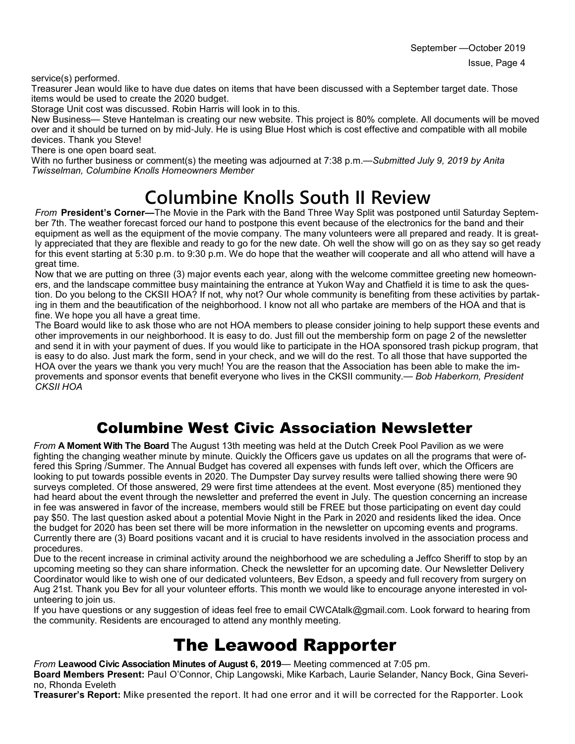service(s) performed.

Treasurer Jean would like to have due dates on items that have been discussed with a September target date. Those items would be used to create the 2020 budget.

Storage Unit cost was discussed. Robin Harris will look in to this.

New Business— Steve Hantelman is creating our new website. This project is 80% complete. All documents will be moved over and it should be turned on by mid-July. He is using Blue Host which is cost effective and compatible with all mobile devices. Thank you Steve!

There is one open board seat.

With no further business or comment(s) the meeting was adjourned at 7:38 p.m.—*Submitted July 9, 2019 by Anita Twisselman, Columbine Knolls Homeowners Member*

# **Columbine Knolls South II Review**

*From* **President's Corner—**The Movie in the Park with the Band Three Way Split was postponed until Saturday September 7th. The weather forecast forced our hand to postpone this event because of the electronics for the band and their equipment as well as the equipment of the movie company. The many volunteers were all prepared and ready. It is greatly appreciated that they are flexible and ready to go for the new date. Oh well the show will go on as they say so get ready for this event starting at 5:30 p.m. to 9:30 p.m. We do hope that the weather will cooperate and all who attend will have a great time.

Now that we are putting on three (3) major events each year, along with the welcome committee greeting new homeowners, and the landscape committee busy maintaining the entrance at Yukon Way and Chatfield it is time to ask the question. Do you belong to the CKSII HOA? If not, why not? Our whole community is benefiting from these activities by partaking in them and the beautification of the neighborhood. I know not all who partake are members of the HOA and that is fine. We hope you all have a great time.

The Board would like to ask those who are not HOA members to please consider joining to help support these events and other improvements in our neighborhood. It is easy to do. Just fill out the membership form on page 2 of the newsletter and send it in with your payment of dues. If you would like to participate in the HOA sponsored trash pickup program, that is easy to do also. Just mark the form, send in your check, and we will do the rest. To all those that have supported the HOA over the years we thank you very much! You are the reason that the Association has been able to make the improvements and sponsor events that benefit everyone who lives in the CKSII community.— *Bob Haberkorn, President CKSII HOA*

### Columbine West Civic Association Newsletter

*From* **A Moment With The Board** The August 13th meeting was held at the Dutch Creek Pool Pavilion as we were fighting the changing weather minute by minute. Quickly the Officers gave us updates on all the programs that were offered this Spring /Summer. The Annual Budget has covered all expenses with funds left over, which the Officers are looking to put towards possible events in 2020. The Dumpster Day survey results were tallied showing there were 90 surveys completed. Of those answered, 29 were first time attendees at the event. Most everyone (85) mentioned they had heard about the event through the newsletter and preferred the event in July. The question concerning an increase in fee was answered in favor of the increase, members would still be FREE but those participating on event day could pay \$50. The last question asked about a potential Movie Night in the Park in 2020 and residents liked the idea. Once the budget for 2020 has been set there will be more information in the newsletter on upcoming events and programs. Currently there are (3) Board positions vacant and it is crucial to have residents involved in the association process and procedures.

Due to the recent increase in criminal activity around the neighborhood we are scheduling a Jeffco Sheriff to stop by an upcoming meeting so they can share information. Check the newsletter for an upcoming date. Our Newsletter Delivery Coordinator would like to wish one of our dedicated volunteers, Bev Edson, a speedy and full recovery from surgery on Aug 21st. Thank you Bev for all your volunteer efforts. This month we would like to encourage anyone interested in volunteering to join us.

If you have questions or any suggestion of ideas feel free to email CWCAtalk@gmail.com. Look forward to hearing from the community. Residents are encouraged to attend any monthly meeting.

## The Leawood Rapporter

*From* **Leawood Civic Association Minutes of August 6, 2019**— Meeting commenced at 7:05 pm.

**Board Members Present:** Paul O'Connor, Chip Langowski, Mike Karbach, Laurie Selander, Nancy Bock, Gina Severino, Rhonda Eveleth

**Treasurer's Report:** Mike presented the report. It had one error and it will be corrected for the Rapporter. Look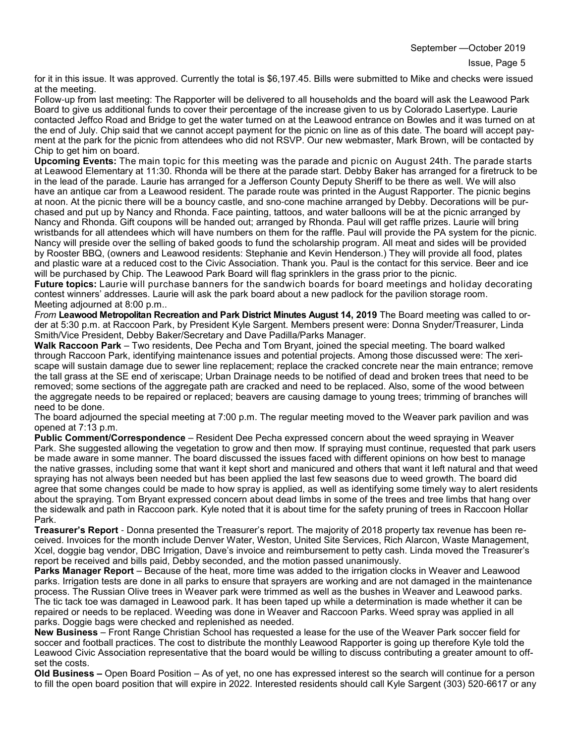Issue, Page 5

for it in this issue. It was approved. Currently the total is \$6,197.45. Bills were submitted to Mike and checks were issued at the meeting.

Follow-up from last meeting: The Rapporter will be delivered to all households and the board will ask the Leawood Park Board to give us additional funds to cover their percentage of the increase given to us by Colorado Lasertype. Laurie contacted Jeffco Road and Bridge to get the water turned on at the Leawood entrance on Bowles and it was turned on at the end of July. Chip said that we cannot accept payment for the picnic on line as of this date. The board will accept payment at the park for the picnic from attendees who did not RSVP. Our new webmaster, Mark Brown, will be contacted by Chip to get him on board.

**Upcoming Events:** The main topic for this meeting was the parade and picnic on August 24th. The parade starts at Leawood Elementary at 11:30. Rhonda will be there at the parade start. Debby Baker has arranged for a firetruck to be in the lead of the parade. Laurie has arranged for a Jefferson County Deputy Sheriff to be there as well. We will also have an antique car from a Leawood resident. The parade route was printed in the August Rapporter. The picnic begins at noon. At the picnic there will be a bouncy castle, and sno-cone machine arranged by Debby. Decorations will be purchased and put up by Nancy and Rhonda. Face painting, tattoos, and water balloons will be at the picnic arranged by Nancy and Rhonda. Gift coupons will be handed out; arranged by Rhonda. Paul will get raffle prizes. Laurie will bring wristbands for all attendees which will have numbers on them for the raffle. Paul will provide the PA system for the picnic. Nancy will preside over the selling of baked goods to fund the scholarship program. All meat and sides will be provided by Rooster BBQ, (owners and Leawood residents: Stephanie and Kevin Henderson.) They will provide all food, plates and plastic ware at a reduced cost to the Civic Association. Thank you. Paul is the contact for this service. Beer and ice will be purchased by Chip. The Leawood Park Board will flag sprinklers in the grass prior to the picnic.

**Future topics:** Laurie will purchase banners for the sandwich boards for board meetings and holiday decorating contest winners' addresses. Laurie will ask the park board about a new padlock for the pavilion storage room. Meeting adjourned at 8:00 p.m..

*From* **Leawood Metropolitan Recreation and Park District Minutes August 14, 2019** The Board meeting was called to order at 5:30 p.m. at Raccoon Park, by President Kyle Sargent. Members present were: Donna Snyder/Treasurer, Linda Smith/Vice President, Debby Baker/Secretary and Dave Padilla/Parks Manager.

**Walk Raccoon Park** – Two residents, Dee Pecha and Tom Bryant, joined the special meeting. The board walked through Raccoon Park, identifying maintenance issues and potential projects. Among those discussed were: The xeriscape will sustain damage due to sewer line replacement; replace the cracked concrete near the main entrance; remove the tall grass at the SE end of xeriscape; Urban Drainage needs to be notified of dead and broken trees that need to be removed; some sections of the aggregate path are cracked and need to be replaced. Also, some of the wood between the aggregate needs to be repaired or replaced; beavers are causing damage to young trees; trimming of branches will need to be done.

The board adjourned the special meeting at 7:00 p.m. The regular meeting moved to the Weaver park pavilion and was opened at 7:13 p.m.

**Public Comment/Correspondence** – Resident Dee Pecha expressed concern about the weed spraying in Weaver Park. She suggested allowing the vegetation to grow and then mow. If spraying must continue, requested that park users be made aware in some manner. The board discussed the issues faced with different opinions on how best to manage the native grasses, including some that want it kept short and manicured and others that want it left natural and that weed spraying has not always been needed but has been applied the last few seasons due to weed growth. The board did agree that some changes could be made to how spray is applied, as well as identifying some timely way to alert residents about the spraying. Tom Bryant expressed concern about dead limbs in some of the trees and tree limbs that hang over the sidewalk and path in Raccoon park. Kyle noted that it is about time for the safety pruning of trees in Raccoon Hollar Park.

**Treasurer's Report** - Donna presented the Treasurer's report. The majority of 2018 property tax revenue has been received. Invoices for the month include Denver Water, Weston, United Site Services, Rich Alarcon, Waste Management, Xcel, doggie bag vendor, DBC Irrigation, Dave's invoice and reimbursement to petty cash. Linda moved the Treasurer's report be received and bills paid, Debby seconded, and the motion passed unanimously.

**Parks Manager Report** – Because of the heat, more time was added to the irrigation clocks in Weaver and Leawood parks. Irrigation tests are done in all parks to ensure that sprayers are working and are not damaged in the maintenance process. The Russian Olive trees in Weaver park were trimmed as well as the bushes in Weaver and Leawood parks. The tic tack toe was damaged in Leawood park. It has been taped up while a determination is made whether it can be repaired or needs to be replaced. Weeding was done in Weaver and Raccoon Parks. Weed spray was applied in all parks. Doggie bags were checked and replenished as needed.

**New Business** – Front Range Christian School has requested a lease for the use of the Weaver Park soccer field for soccer and football practices. The cost to distribute the monthly Leawood Rapporter is going up therefore Kyle told the Leawood Civic Association representative that the board would be willing to discuss contributing a greater amount to offset the costs.

**Old Business –** Open Board Position – As of yet, no one has expressed interest so the search will continue for a person to fill the open board position that will expire in 2022. Interested residents should call Kyle Sargent (303) 520-6617 or any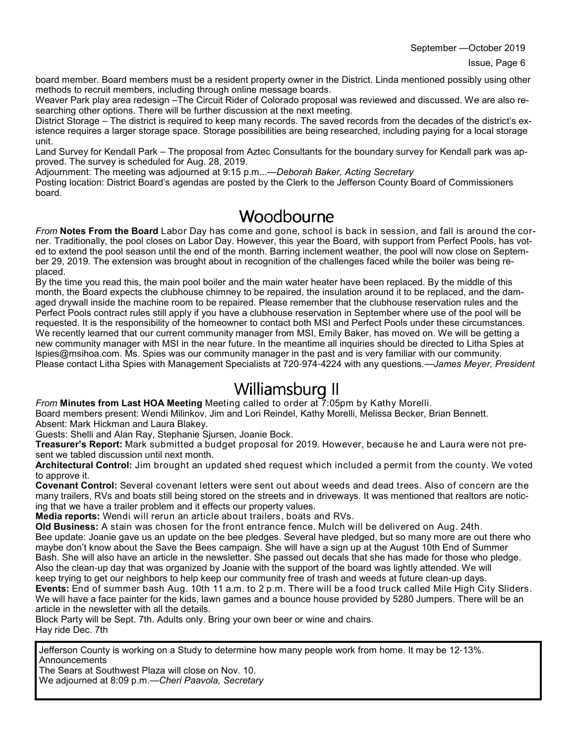September —October 2019

board member. Board members must be a resident property owner in the District. Linda mentioned possibly using other methods to recruit members, including through online message boards.

Weaver Park play area redesign –The Circuit Rider of Colorado proposal was reviewed and discussed. We are also researching other options. There will be further discussion at the next meeting.

District Storage – The district is required to keep many records. The saved records from the decades of the district's existence requires a larger storage space. Storage possibilities are being researched, including paying for a local storage unit.

Land Survey for Kendall Park – The proposal from Aztec Consultants for the boundary survey for Kendall park was approved. The survey is scheduled for Aug. 28, 2019.

Adjournment: The meeting was adjourned at 9:15 p.m...—*Deborah Baker, Acting Secretary*

Posting location: District Board's agendas are posted by the Clerk to the Jefferson County Board of Commissioners board.

#### Woodbourne

*From* **Notes From the Board** Labor Day has come and gone, school is back in session, and fall is around the corner. Traditionally, the pool closes on Labor Day. However, this year the Board, with support from Perfect Pools, has voted to extend the pool season until the end of the month. Barring inclement weather, the pool will now close on September 29, 2019. The extension was brought about in recognition of the challenges faced while the boiler was being replaced.

By the time you read this, the main pool boiler and the main water heater have been replaced. By the middle of this month, the Board expects the clubhouse chimney to be repaired, the insulation around it to be replaced, and the damaged drywall inside the machine room to be repaired. Please remember that the clubhouse reservation rules and the Perfect Pools contract rules still apply if you have a clubhouse reservation in September where use of the pool will be requested. It is the responsibility of the homeowner to contact both MSI and Perfect Pools under these circumstances. We recently learned that our current community manager from MSI, Emily Baker, has moved on. We will be getting a new community manager with MSI in the near future. In the meantime all inquiries should be directed to Litha Spies at lspies@msihoa.com. Ms. Spies was our community manager in the past and is very familiar with our community. Please contact Litha Spies with Management Specialists at 720-974-4224 with any questions.—*James Meyer, President*

### Williamsburg II

*From* **Minutes from Last HOA Meeting** Meeting called to order at 7:05pm by Kathy Morelli.

Board members present: Wendi Milinkov, Jim and Lori Reindel, Kathy Morelli, Melissa Becker, Brian Bennett. Absent: Mark Hickman and Laura Blakey.

Guests: Shelli and Alan Ray, Stephanie Sjursen, Joanie Bock.

**Treasurer's Report:** Mark submitted a budget proposal for 2019. However, because he and Laura were not present we tabled discussion until next month.

**Architectural Control:** Jim brought an updated shed request which included a permit from the county. We voted to approve it.

**Covenant Control:** Several covenant letters were sent out about weeds and dead trees. Also of concern are the many trailers, RVs and boats still being stored on the streets and in driveways. It was mentioned that realtors are noticing that we have a trailer problem and it effects our property values.

**Media reports:** Wendi will rerun an article about trailers, boats and RVs.

**Old Business:** A stain was chosen for the front entrance fence. Mulch will be delivered on Aug. 24th. Bee update: Joanie gave us an update on the bee pledges. Several have pledged, but so many more are out there who maybe don't know about the Save the Bees campaign. She will have a sign up at the August 10th End of Summer Bash. She will also have an article in the newsletter. She passed out decals that she has made for those who pledge. Also the clean-up day that was organized by Joanie with the support of the board was lightly attended. We will keep trying to get our neighbors to help keep our community free of trash and weeds at future clean-up days.

**Events:** End of summer bash Aug. 10th 11 a.m. to 2 p.m. There will be a food truck called Mile High City Sliders. We will have a face painter for the kids, lawn games and a bounce house provided by 5280 Jumpers. There will be an article in the newsletter with all the details.

Block Party will be Sept. 7th. Adults only. Bring your own beer or wine and chairs. Hay ride Dec. 7th

Jefferson County is working on a Study to determine how many people work from home. It may be 12-13%. **Announcements** 

The Sears at Southwest Plaza will close on Nov. 10.

We adjourned at 8:09 p.m.—*Cheri Paavola, Secretary*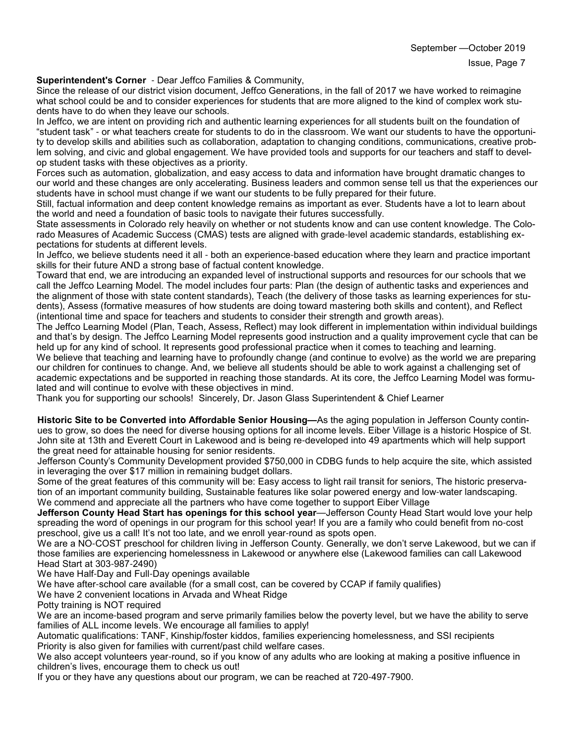#### **Superintendent's Corner** - Dear Jeffco Families & Community,

Since the release of our district vision document, Jeffco Generations, in the fall of 2017 we have worked to reimagine what school could be and to consider experiences for students that are more aligned to the kind of complex work students have to do when they leave our schools.

In Jeffco, we are intent on providing rich and authentic learning experiences for all students built on the foundation of "student task" - or what teachers create for students to do in the classroom. We want our students to have the opportunity to develop skills and abilities such as collaboration, adaptation to changing conditions, communications, creative problem solving, and civic and global engagement. We have provided tools and supports for our teachers and staff to develop student tasks with these objectives as a priority.

Forces such as automation, globalization, and easy access to data and information have brought dramatic changes to our world and these changes are only accelerating. Business leaders and common sense tell us that the experiences our students have in school must change if we want our students to be fully prepared for their future.

Still, factual information and deep content knowledge remains as important as ever. Students have a lot to learn about the world and need a foundation of basic tools to navigate their futures successfully.

State assessments in Colorado rely heavily on whether or not students know and can use content knowledge. The Colorado Measures of Academic Success (CMAS) tests are aligned with grade-level academic standards, establishing expectations for students at different levels.

In Jeffco, we believe students need it all - both an experience-based education where they learn and practice important skills for their future AND a strong base of factual content knowledge.

Toward that end, we are introducing an expanded level of instructional supports and resources for our schools that we call the Jeffco Learning Model. The model includes four parts: Plan (the design of authentic tasks and experiences and the alignment of those with state content standards), Teach (the delivery of those tasks as learning experiences for students), Assess (formative measures of how students are doing toward mastering both skills and content), and Reflect (intentional time and space for teachers and students to consider their strength and growth areas).

The Jeffco Learning Model (Plan, Teach, Assess, Reflect) may look different in implementation within individual buildings and that's by design. The Jeffco Learning Model represents good instruction and a quality improvement cycle that can be held up for any kind of school. It represents good professional practice when it comes to teaching and learning.

We believe that teaching and learning have to profoundly change (and continue to evolve) as the world we are preparing our children for continues to change. And, we believe all students should be able to work against a challenging set of academic expectations and be supported in reaching those standards. At its core, the Jeffco Learning Model was formulated and will continue to evolve with these objectives in mind.

Thank you for supporting our schools! Sincerely, Dr. Jason Glass Superintendent & Chief Learner

**Historic Site to be Converted into Affordable Senior Housing—**As the aging population in Jefferson County continues to grow, so does the need for diverse housing options for all income levels. Eiber Village is a historic Hospice of St. John site at 13th and Everett Court in Lakewood and is being re-developed into 49 apartments which will help support the great need for attainable housing for senior residents.

Jefferson County's Community Development provided \$750,000 in CDBG funds to help acquire the site, which assisted in leveraging the over \$17 million in remaining budget dollars.

Some of the great features of this community will be: Easy access to light rail transit for seniors, The historic preservation of an important community building, Sustainable features like solar powered energy and low-water landscaping. We commend and appreciate all the partners who have come together to support Eiber Village

**Jefferson County Head Start has openings for this school year**—Jefferson County Head Start would love your help spreading the word of openings in our program for this school year! If you are a family who could benefit from no-cost preschool, give us a call! It's not too late, and we enroll year-round as spots open.

We are a NO-COST preschool for children living in Jefferson County. Generally, we don't serve Lakewood, but we can if those families are experiencing homelessness in Lakewood or anywhere else (Lakewood families can call Lakewood Head Start at 303-987-2490)

We have Half-Day and Full-Day openings available

We have after-school care available (for a small cost, can be covered by CCAP if family qualifies)

We have 2 convenient locations in Arvada and Wheat Ridge

Potty training is NOT required

We are an income-based program and serve primarily families below the poverty level, but we have the ability to serve families of ALL income levels. We encourage all families to apply!

Automatic qualifications: TANF, Kinship/foster kiddos, families experiencing homelessness, and SSI recipients Priority is also given for families with current/past child welfare cases.

We also accept volunteers year-round, so if you know of any adults who are looking at making a positive influence in children's lives, encourage them to check us out!

If you or they have any questions about our program, we can be reached at 720-497-7900.